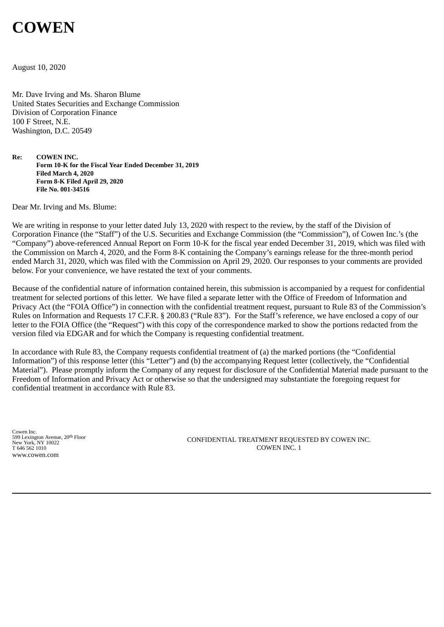# **COWEN**

August 10, 2020

Mr. Dave Irving and Ms. Sharon Blume United States Securities and Exchange Commission Division of Corporation Finance 100 F Street, N.E. Washington, D.C. 20549

**Re: COWEN INC. Form 10-K for the Fiscal Year Ended December 31, 2019 Filed March 4, 2020 Form 8-K Filed April 29, 2020 File No. 001-34516**

Dear Mr. Irving and Ms. Blume:

We are writing in response to your letter dated July 13, 2020 with respect to the review, by the staff of the Division of Corporation Finance (the "Staff") of the U.S. Securities and Exchange Commission (the "Commission"), of Cowen Inc.'s (the "Company") above-referenced Annual Report on Form 10-K for the fiscal year ended December 31, 2019, which was filed with the Commission on March 4, 2020, and the Form 8-K containing the Company's earnings release for the three-month period ended March 31, 2020, which was filed with the Commission on April 29, 2020. Our responses to your comments are provided below. For your convenience, we have restated the text of your comments.

Because of the confidential nature of information contained herein, this submission is accompanied by a request for confidential treatment for selected portions of this letter. We have filed a separate letter with the Office of Freedom of Information and Privacy Act (the "FOIA Office") in connection with the confidential treatment request, pursuant to Rule 83 of the Commission's Rules on Information and Requests 17 C.F.R. § 200.83 ("Rule 83"). For the Staff's reference, we have enclosed a copy of our letter to the FOIA Office (the "Request") with this copy of the correspondence marked to show the portions redacted from the version filed via EDGAR and for which the Company is requesting confidential treatment.

In accordance with Rule 83, the Company requests confidential treatment of (a) the marked portions (the "Confidential Information") of this response letter (this "Letter") and (b) the accompanying Request letter (collectively, the "Confidential Material"). Please promptly inform the Company of any request for disclosure of the Confidential Material made pursuant to the Freedom of Information and Privacy Act or otherwise so that the undersigned may substantiate the foregoing request for confidential treatment in accordance with Rule 83.

Cowen Inc. 599 Lexington Avenue, 20th Floor New York, NY 10022 T 646 562 1010 www.cowen.com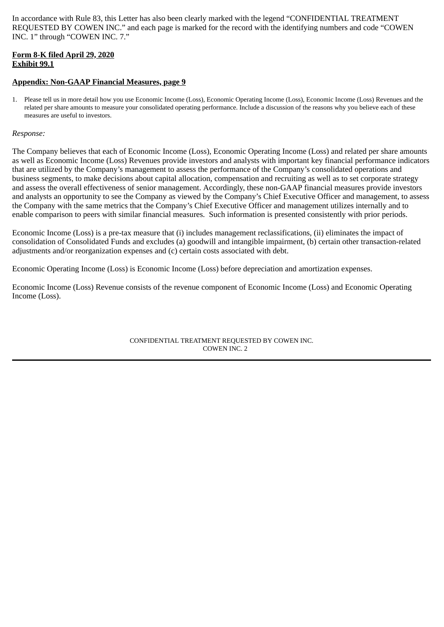In accordance with Rule 83, this Letter has also been clearly marked with the legend "CONFIDENTIAL TREATMENT REQUESTED BY COWEN INC." and each page is marked for the record with the identifying numbers and code "COWEN INC. 1" through "COWEN INC. 7."

## **Form 8-K filed April 29, 2020 Exhibit 99.1**

## **Appendix: Non-GAAP Financial Measures, page 9**

1. Please tell us in more detail how you use Economic Income (Loss), Economic Operating Income (Loss), Economic Income (Loss) Revenues and the related per share amounts to measure your consolidated operating performance. Include a discussion of the reasons why you believe each of these measures are useful to investors.

### *Response:*

The Company believes that each of Economic Income (Loss), Economic Operating Income (Loss) and related per share amounts as well as Economic Income (Loss) Revenues provide investors and analysts with important key financial performance indicators that are utilized by the Company's management to assess the performance of the Company's consolidated operations and business segments, to make decisions about capital allocation, compensation and recruiting as well as to set corporate strategy and assess the overall effectiveness of senior management. Accordingly, these non-GAAP financial measures provide investors and analysts an opportunity to see the Company as viewed by the Company's Chief Executive Officer and management, to assess the Company with the same metrics that the Company's Chief Executive Officer and management utilizes internally and to enable comparison to peers with similar financial measures. Such information is presented consistently with prior periods.

Economic Income (Loss) is a pre-tax measure that (i) includes management reclassifications, (ii) eliminates the impact of consolidation of Consolidated Funds and excludes (a) goodwill and intangible impairment, (b) certain other transaction-related adjustments and/or reorganization expenses and (c) certain costs associated with debt.

Economic Operating Income (Loss) is Economic Income (Loss) before depreciation and amortization expenses.

Economic Income (Loss) Revenue consists of the revenue component of Economic Income (Loss) and Economic Operating Income (Loss).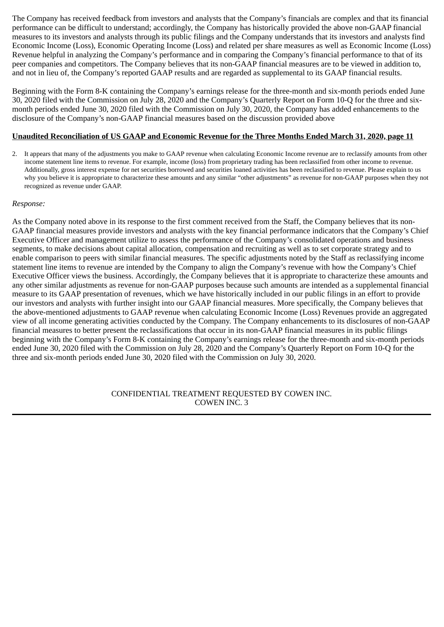The Company has received feedback from investors and analysts that the Company's financials are complex and that its financial performance can be difficult to understand; accordingly, the Company has historically provided the above non-GAAP financial measures to its investors and analysts through its public filings and the Company understands that its investors and analysts find Economic Income (Loss), Economic Operating Income (Loss) and related per share measures as well as Economic Income (Loss) Revenue helpful in analyzing the Company's performance and in comparing the Company's financial performance to that of its peer companies and competitors. The Company believes that its non-GAAP financial measures are to be viewed in addition to, and not in lieu of, the Company's reported GAAP results and are regarded as supplemental to its GAAP financial results.

Beginning with the Form 8-K containing the Company's earnings release for the three-month and six-month periods ended June 30, 2020 filed with the Commission on July 28, 2020 and the Company's Quarterly Report on Form 10-Q for the three and sixmonth periods ended June 30, 2020 filed with the Commission on July 30, 2020, the Company has added enhancements to the disclosure of the Company's non-GAAP financial measures based on the discussion provided above

## **Unaudited Reconciliation of US GAAP and Economic Revenue for the Three Months Ended March 31, 2020, page 11**

2. It appears that many of the adjustments you make to GAAP revenue when calculating Economic Income revenue are to reclassify amounts from other income statement line items to revenue. For example, income (loss) from proprietary trading has been reclassified from other income to revenue. Additionally, gross interest expense for net securities borrowed and securities loaned activities has been reclassified to revenue. Please explain to us why you believe it is appropriate to characterize these amounts and any similar "other adjustments" as revenue for non-GAAP purposes when they not recognized as revenue under GAAP.

## *Response:*

As the Company noted above in its response to the first comment received from the Staff, the Company believes that its non-GAAP financial measures provide investors and analysts with the key financial performance indicators that the Company's Chief Executive Officer and management utilize to assess the performance of the Company's consolidated operations and business segments, to make decisions about capital allocation, compensation and recruiting as well as to set corporate strategy and to enable comparison to peers with similar financial measures. The specific adjustments noted by the Staff as reclassifying income statement line items to revenue are intended by the Company to align the Company's revenue with how the Company's Chief Executive Officer views the business. Accordingly, the Company believes that it is appropriate to characterize these amounts and any other similar adjustments as revenue for non-GAAP purposes because such amounts are intended as a supplemental financial measure to its GAAP presentation of revenues, which we have historically included in our public filings in an effort to provide our investors and analysts with further insight into our GAAP financial measures. More specifically, the Company believes that the above-mentioned adjustments to GAAP revenue when calculating Economic Income (Loss) Revenues provide an aggregated view of all income generating activities conducted by the Company. The Company enhancements to its disclosures of non-GAAP financial measures to better present the reclassifications that occur in its non-GAAP financial measures in its public filings beginning with the Company's Form 8-K containing the Company's earnings release for the three-month and six-month periods ended June 30, 2020 filed with the Commission on July 28, 2020 and the Company's Quarterly Report on Form 10-Q for the three and six-month periods ended June 30, 2020 filed with the Commission on July 30, 2020.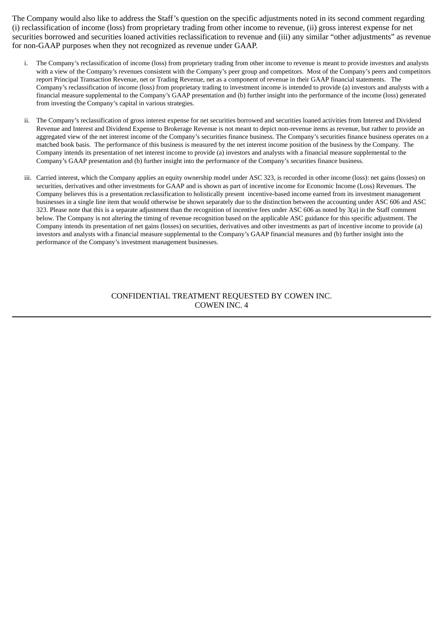The Company would also like to address the Staff's question on the specific adjustments noted in its second comment regarding (i) reclassification of income (loss) from proprietary trading from other income to revenue, (ii) gross interest expense for net securities borrowed and securities loaned activities reclassification to revenue and (iii) any similar "other adjustments" as revenue for non-GAAP purposes when they not recognized as revenue under GAAP.

- i. The Company's reclassification of income (loss) from proprietary trading from other income to revenue is meant to provide investors and analysts with a view of the Company's revenues consistent with the Company's peer group and competitors. Most of the Company's peers and competitors report Principal Transaction Revenue, net or Trading Revenue, net as a component of revenue in their GAAP financial statements. The Company's reclassification of income (loss) from proprietary trading to investment income is intended to provide (a) investors and analysts with a financial measure supplemental to the Company's GAAP presentation and (b) further insight into the performance of the income (loss) generated from investing the Company's capital in various strategies.
- ii. The Company's reclassification of gross interest expense for net securities borrowed and securities loaned activities from Interest and Dividend Revenue and Interest and Dividend Expense to Brokerage Revenue is not meant to depict non-revenue items as revenue, but rather to provide an aggregated view of the net interest income of the Company's securities finance business. The Company's securities finance business operates on a matched book basis. The performance of this business is measured by the net interest income position of the business by the Company. The Company intends its presentation of net interest income to provide (a) investors and analysts with a financial measure supplemental to the Company's GAAP presentation and (b) further insight into the performance of the Company's securities finance business.
- iii. Carried interest, which the Company applies an equity ownership model under ASC 323, is recorded in other income (loss): net gains (losses) on securities, derivatives and other investments for GAAP and is shown as part of incentive income for Economic Income (Loss) Revenues. The Company believes this is a presentation reclassification to holistically present incentive-based income earned from its investment management businesses in a single line item that would otherwise be shown separately due to the distinction between the accounting under ASC 606 and ASC 323. Please note that this is a separate adjustment than the recognition of incentive fees under ASC 606 as noted by 3(a) in the Staff comment below. The Company is not altering the timing of revenue recognition based on the applicable ASC guidance for this specific adjustment. The Company intends its presentation of net gains (losses) on securities, derivatives and other investments as part of incentive income to provide (a) investors and analysts with a financial measure supplemental to the Company's GAAP financial measures and (b) further insight into the performance of the Company's investment management businesses.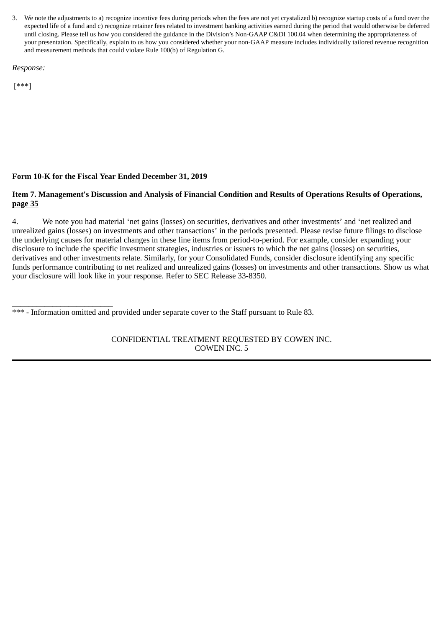3. We note the adjustments to a) recognize incentive fees during periods when the fees are not yet crystalized b) recognize startup costs of a fund over the expected life of a fund and c) recognize retainer fees related to investment banking activities earned during the period that would otherwise be deferred until closing. Please tell us how you considered the guidance in the Division's Non-GAAP C&DI 100.04 when determining the appropriateness of your presentation. Specifically, explain to us how you considered whether your non-GAAP measure includes individually tailored revenue recognition and measurement methods that could violate Rule 100(b) of Regulation G.

*Response:*

[\*\*\*]

# **Form 10-K for the Fiscal Year Ended December 31, 2019**

# **Item 7. Management's Discussion and Analysis of Financial Condition and Results of Operations Results of Operations, page 35**

4. We note you had material 'net gains (losses) on securities, derivatives and other investments' and 'net realized and unrealized gains (losses) on investments and other transactions' in the periods presented. Please revise future filings to disclose the underlying causes for material changes in these line items from period-to-period. For example, consider expanding your disclosure to include the specific investment strategies, industries or issuers to which the net gains (losses) on securities, derivatives and other investments relate. Similarly, for your Consolidated Funds, consider disclosure identifying any specific funds performance contributing to net realized and unrealized gains (losses) on investments and other transactions. Show us what your disclosure will look like in your response. Refer to SEC Release 33-8350.

\_\_\_\_\_\_\_\_\_\_\_\_\_\_\_\_\_\_\_\_\_\_\_\_\_ \*\*\* - Information omitted and provided under separate cover to the Staff pursuant to Rule 83.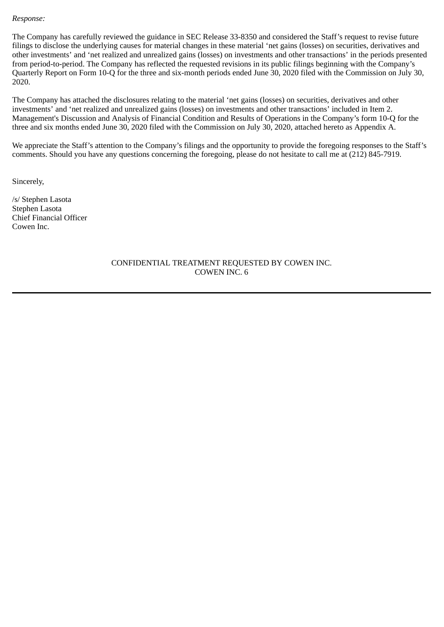#### *Response:*

The Company has carefully reviewed the guidance in SEC Release 33-8350 and considered the Staff's request to revise future filings to disclose the underlying causes for material changes in these material 'net gains (losses) on securities, derivatives and other investments' and 'net realized and unrealized gains (losses) on investments and other transactions' in the periods presented from period-to-period. The Company has reflected the requested revisions in its public filings beginning with the Company's Quarterly Report on Form 10-Q for the three and six-month periods ended June 30, 2020 filed with the Commission on July 30, 2020.

The Company has attached the disclosures relating to the material 'net gains (losses) on securities, derivatives and other investments' and 'net realized and unrealized gains (losses) on investments and other transactions' included in Item 2. Management's Discussion and Analysis of Financial Condition and Results of Operations in the Company's form 10-Q for the three and six months ended June 30, 2020 filed with the Commission on July 30, 2020, attached hereto as Appendix A.

We appreciate the Staff's attention to the Company's filings and the opportunity to provide the foregoing responses to the Staff's comments. Should you have any questions concerning the foregoing, please do not hesitate to call me at (212) 845-7919.

Sincerely,

/s/ Stephen Lasota Stephen Lasota Chief Financial Officer Cowen Inc.